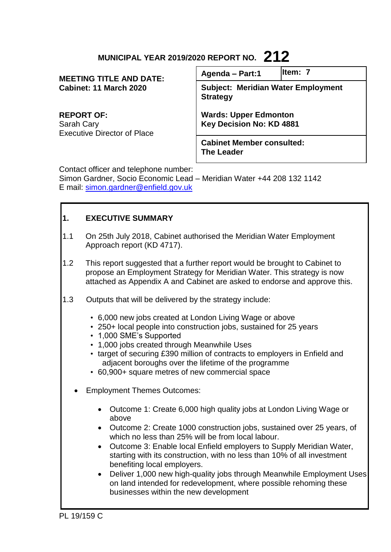# **MUNICIPAL YEAR 2019/2020 REPORT NO. 212**

| <b>MEETING TITLE AND DATE:</b><br>Cabinet: 11 March 2020              | Agenda - Part:1                                              | lltem: 7 |
|-----------------------------------------------------------------------|--------------------------------------------------------------|----------|
|                                                                       | <b>Subject: Meridian Water Employment</b><br><b>Strategy</b> |          |
| <b>REPORT OF:</b><br>Sarah Cary<br><b>Executive Director of Place</b> | <b>Wards: Upper Edmonton</b><br>Key Decision No: KD 4881     |          |
|                                                                       | <b>Cabinet Member consulted:</b><br><b>The Leader</b>        |          |
| Contact officer and telephone number:                                 |                                                              |          |

Contact officer and telephone number:

Simon Gardner, Socio Economic Lead – Meridian Water +44 208 132 1142 E mail: [simon.gardner@enfield.gov.uk](mailto:simon.gardner@enfield.gov.uk)

# **1. EXECUTIVE SUMMARY**

- 1.1 On 25th July 2018, Cabinet authorised the Meridian Water Employment Approach report (KD 4717).
- 1.2 This report suggested that a further report would be brought to Cabinet to propose an Employment Strategy for Meridian Water. This strategy is now attached as Appendix A and Cabinet are asked to endorse and approve this.
- 1.3 Outputs that will be delivered by the strategy include:
	- 6,000 new jobs created at London Living Wage or above
	- 250+ local people into construction jobs, sustained for 25 years
	- 1,000 SME's Supported
	- 1,000 jobs created through Meanwhile Uses
	- target of securing £390 million of contracts to employers in Enfield and adjacent boroughs over the lifetime of the programme
	- 60,900+ square metres of new commercial space
	- Employment Themes Outcomes:
		- Outcome 1: Create 6,000 high quality jobs at London Living Wage or above
		- Outcome 2: Create 1000 construction jobs, sustained over 25 years, of which no less than 25% will be from local labour.
		- Outcome 3: Enable local Enfield employers to Supply Meridian Water, starting with its construction, with no less than 10% of all investment benefiting local employers.
		- Deliver 1,000 new high-quality jobs through Meanwhile Employment Uses on land intended for redevelopment, where possible rehoming these businesses within the new development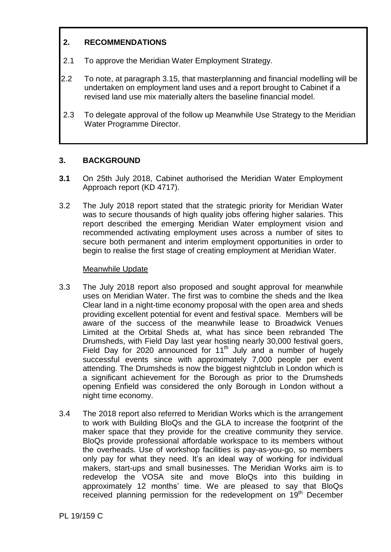# **2. RECOMMENDATIONS**

- 2.1 To approve the Meridian Water Employment Strategy.
- 2.2 To note, at paragraph 3.15, that masterplanning and financial modelling will be undertaken on employment land uses and a report brought to Cabinet if a revised land use mix materially alters the baseline financial model.
- 2.3 To delegate approval of the follow up Meanwhile Use Strategy to the Meridian Water Programme Director.

# **3. BACKGROUND**

- **3.1** On 25th July 2018, Cabinet authorised the Meridian Water Employment Approach report (KD 4717).
- 3.2 The July 2018 report stated that the strategic priority for Meridian Water was to secure thousands of high quality jobs offering higher salaries. This report described the emerging Meridian Water employment vision and recommended activating employment uses across a number of sites to secure both permanent and interim employment opportunities in order to begin to realise the first stage of creating employment at Meridian Water.

# Meanwhile Update

- 3.3 The July 2018 report also proposed and sought approval for meanwhile uses on Meridian Water. The first was to combine the sheds and the Ikea Clear land in a night-time economy proposal with the open area and sheds providing excellent potential for event and festival space. Members will be aware of the success of the meanwhile lease to Broadwick Venues Limited at the Orbital Sheds at, what has since been rebranded The Drumsheds, with Field Day last year hosting nearly 30,000 festival goers, Field Day for 2020 announced for 11<sup>th</sup> July and a number of hugely successful events since with approximately 7,000 people per event attending. The Drumsheds is now the biggest nightclub in London which is a significant achievement for the Borough as prior to the Drumsheds opening Enfield was considered the only Borough in London without a night time economy.
- 3.4 The 2018 report also referred to Meridian Works which is the arrangement to work with Building BloQs and the GLA to increase the footprint of the maker space that they provide for the creative community they service. BloQs provide professional affordable workspace to its members without the overheads. Use of workshop facilities is pay-as-you-go, so members only pay for what they need. It's an ideal way of working for individual makers, start-ups and small businesses. The Meridian Works aim is to redevelop the VOSA site and move BloQs into this building in approximately 12 months' time. We are pleased to say that BloQs received planning permission for the redevelopment on 19<sup>th</sup> December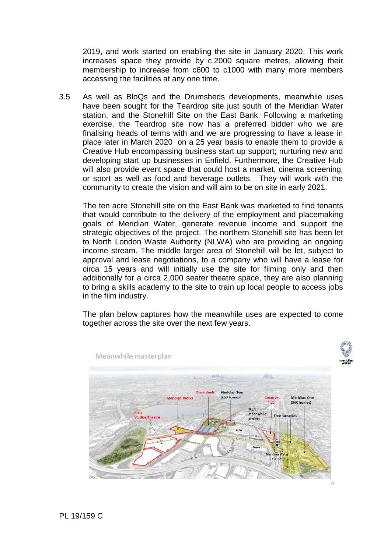2019, and work started on enabling the site in January 2020. This work increases space they provide by c.2000 square metres, allowing their membership to increase from c600 to c1000 with many more members accessing the facilities at any one time.

3.5 As well as BloQs and the Drumsheds developments, meanwhile uses have been sought for the Teardrop site just south of the Meridian Water station, and the Stonehill Site on the East Bank. Following a marketing exercise, the Teardrop site now has a preferred bidder who we are finalising heads of terms with and we are progressing to have a lease in place later in March 2020 on a 25 year basis to enable them to provide a Creative Hub encompassing business start up support; nurturing new and developing start up businesses in Enfield. Furthermore, the Creative Hub will also provide event space that could host a market, cinema screening, or sport as well as food and beverage outlets. They will work with the community to create the vision and will aim to be on site in early 2021.

The ten acre Stonehill site on the East Bank was marketed to find tenants that would contribute to the delivery of the employment and placemaking goals of Meridian Water, generate revenue income and support the strategic objectives of the project. The northern Stonehill site has been let to North London Waste Authority (NLWA) who are providing an ongoing income stream. The middle larger area of Stonehill will be let, subject to approval and lease negotiations, to a company who will have a lease for circa 15 years and will initially use the site for filming only and then additionally for a circa 2,000 seater theatre space, they are also planning to bring a skills academy to the site to train up local people to access jobs in the film industry.

The plan below captures how the meanwhile uses are expected to come together across the site over the next few years.

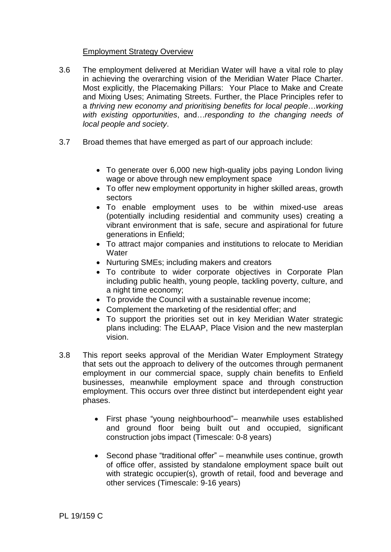# Employment Strategy Overview

- 3.6 The employment delivered at Meridian Water will have a vital role to play in achieving the overarching vision of the Meridian Water Place Charter. Most explicitly, the Placemaking Pillars: Your Place to Make and Create and Mixing Uses; Animating Streets. Further, the Place Principles refer to a *thriving new economy and prioritising benefits for local people*…*working with existing opportunities*, and…*responding to the changing needs of local people and society*.
- 3.7 Broad themes that have emerged as part of our approach include:
	- To generate over 6,000 new high-quality jobs paying London living wage or above through new employment space
	- To offer new employment opportunity in higher skilled areas, growth sectors
	- To enable employment uses to be within mixed-use areas (potentially including residential and community uses) creating a vibrant environment that is safe, secure and aspirational for future generations in Enfield;
	- To attract major companies and institutions to relocate to Meridian **Water**
	- Nurturing SMEs; including makers and creators
	- To contribute to wider corporate objectives in Corporate Plan including public health, young people, tackling poverty, culture, and a night time economy;
	- To provide the Council with a sustainable revenue income;
	- Complement the marketing of the residential offer; and
	- To support the priorities set out in key Meridian Water strategic plans including: The ELAAP, Place Vision and the new masterplan vision.
- 3.8 This report seeks approval of the Meridian Water Employment Strategy that sets out the approach to delivery of the outcomes through permanent employment in our commercial space, supply chain benefits to Enfield businesses, meanwhile employment space and through construction employment. This occurs over three distinct but interdependent eight year phases.
	- First phase "young neighbourhood"– meanwhile uses established and ground floor being built out and occupied, significant construction jobs impact (Timescale: 0-8 years)
	- Second phase "traditional offer" meanwhile uses continue, growth of office offer, assisted by standalone employment space built out with strategic occupier(s), growth of retail, food and beverage and other services (Timescale: 9-16 years)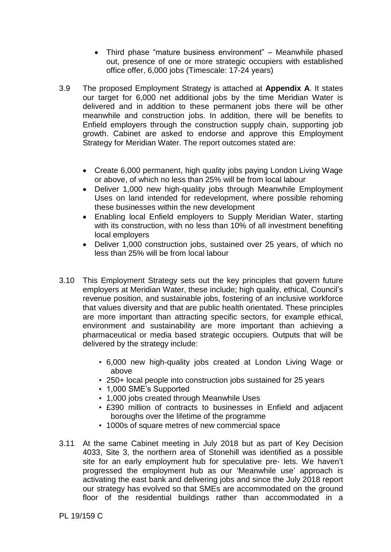- Third phase "mature business environment" Meanwhile phased out, presence of one or more strategic occupiers with established office offer, 6,000 jobs (Timescale: 17-24 years)
- 3.9 The proposed Employment Strategy is attached at **Appendix A**. It states our target for 6,000 net additional jobs by the time Meridian Water is delivered and in addition to these permanent jobs there will be other meanwhile and construction jobs. In addition, there will be benefits to Enfield employers through the construction supply chain, supporting job growth. Cabinet are asked to endorse and approve this Employment Strategy for Meridian Water. The report outcomes stated are:
	- Create 6,000 permanent, high quality jobs paying London Living Wage or above, of which no less than 25% will be from local labour
	- Deliver 1,000 new high-quality jobs through Meanwhile Employment Uses on land intended for redevelopment, where possible rehoming these businesses within the new development
	- Enabling local Enfield employers to Supply Meridian Water, starting with its construction, with no less than 10% of all investment benefiting local employers
	- Deliver 1,000 construction jobs, sustained over 25 years, of which no less than 25% will be from local labour
- 3.10 This Employment Strategy sets out the key principles that govern future employers at Meridian Water, these include; high quality, ethical, Council's revenue position, and sustainable jobs, fostering of an inclusive workforce that values diversity and that are public health orientated. These principles are more important than attracting specific sectors, for example ethical, environment and sustainability are more important than achieving a pharmaceutical or media based strategic occupiers. Outputs that will be delivered by the strategy include:
	- 6,000 new high-quality jobs created at London Living Wage or above
	- 250+ local people into construction jobs sustained for 25 years
	- 1,000 SME's Supported
	- 1,000 jobs created through Meanwhile Uses
	- £390 million of contracts to businesses in Enfield and adjacent boroughs over the lifetime of the programme
	- 1000s of square metres of new commercial space
- 3.11 At the same Cabinet meeting in July 2018 but as part of Key Decision 4033, Site 3, the northern area of Stonehill was identified as a possible site for an early employment hub for speculative pre- lets. We haven't progressed the employment hub as our 'Meanwhile use' approach is activating the east bank and delivering jobs and since the July 2018 report our strategy has evolved so that SMEs are accommodated on the ground floor of the residential buildings rather than accommodated in a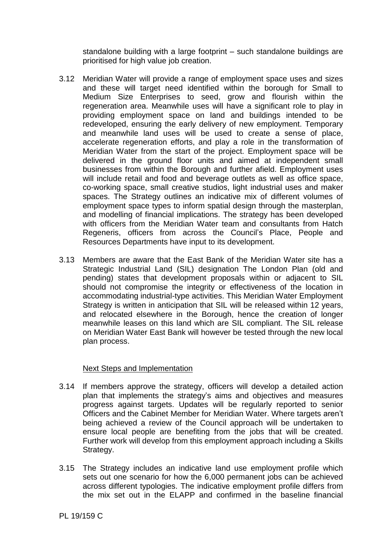standalone building with a large footprint – such standalone buildings are prioritised for high value job creation.

- 3.12 Meridian Water will provide a range of employment space uses and sizes and these will target need identified within the borough for Small to Medium Size Enterprises to seed, grow and flourish within the regeneration area. Meanwhile uses will have a significant role to play in providing employment space on land and buildings intended to be redeveloped, ensuring the early delivery of new employment. Temporary and meanwhile land uses will be used to create a sense of place, accelerate regeneration efforts, and play a role in the transformation of Meridian Water from the start of the project. Employment space will be delivered in the ground floor units and aimed at independent small businesses from within the Borough and further afield. Employment uses will include retail and food and beverage outlets as well as office space, co-working space, small creative studios, light industrial uses and maker spaces. The Strategy outlines an indicative mix of different volumes of employment space types to inform spatial design through the masterplan, and modelling of financial implications. The strategy has been developed with officers from the Meridian Water team and consultants from Hatch Regeneris, officers from across the Council's Place, People and Resources Departments have input to its development.
- 3.13 Members are aware that the East Bank of the Meridian Water site has a Strategic Industrial Land (SIL) designation The London Plan (old and pending) states that development proposals within or adjacent to SIL should not compromise the integrity or effectiveness of the location in accommodating industrial-type activities. This Meridian Water Employment Strategy is written in anticipation that SIL will be released within 12 years. and relocated elsewhere in the Borough, hence the creation of longer meanwhile leases on this land which are SIL compliant. The SIL release on Meridian Water East Bank will however be tested through the new local plan process.

# Next Steps and Implementation

- 3.14 If members approve the strategy, officers will develop a detailed action plan that implements the strategy's aims and objectives and measures progress against targets. Updates will be regularly reported to senior Officers and the Cabinet Member for Meridian Water. Where targets aren't being achieved a review of the Council approach will be undertaken to ensure local people are benefiting from the jobs that will be created. Further work will develop from this employment approach including a Skills Strategy.
- 3.15 The Strategy includes an indicative land use employment profile which sets out one scenario for how the 6,000 permanent jobs can be achieved across different typologies. The indicative employment profile differs from the mix set out in the ELAPP and confirmed in the baseline financial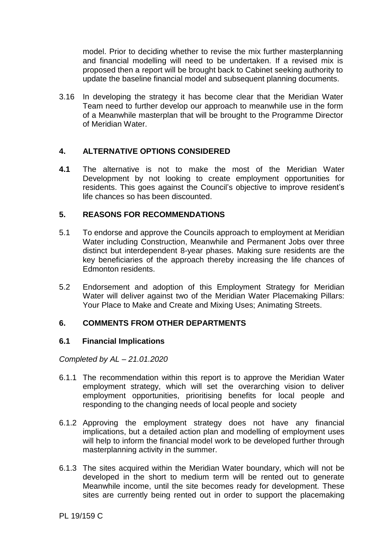model. Prior to deciding whether to revise the mix further masterplanning and financial modelling will need to be undertaken. If a revised mix is proposed then a report will be brought back to Cabinet seeking authority to update the baseline financial model and subsequent planning documents.

3.16 In developing the strategy it has become clear that the Meridian Water Team need to further develop our approach to meanwhile use in the form of a Meanwhile masterplan that will be brought to the Programme Director of Meridian Water.

# **4. ALTERNATIVE OPTIONS CONSIDERED**

**4.1** The alternative is not to make the most of the Meridian Water Development by not looking to create employment opportunities for residents. This goes against the Council's objective to improve resident's life chances so has been discounted.

# **5. REASONS FOR RECOMMENDATIONS**

- 5.1 To endorse and approve the Councils approach to employment at Meridian Water including Construction, Meanwhile and Permanent Jobs over three distinct but interdependent 8-year phases. Making sure residents are the key beneficiaries of the approach thereby increasing the life chances of Edmonton residents.
- 5.2 Endorsement and adoption of this Employment Strategy for Meridian Water will deliver against two of the Meridian Water Placemaking Pillars: Your Place to Make and Create and Mixing Uses; Animating Streets.

# **6. COMMENTS FROM OTHER DEPARTMENTS**

# **6.1 Financial Implications**

*Completed by AL – 21.01.2020*

- 6.1.1 The recommendation within this report is to approve the Meridian Water employment strategy, which will set the overarching vision to deliver employment opportunities, prioritising benefits for local people and responding to the changing needs of local people and society
- 6.1.2 Approving the employment strategy does not have any financial implications, but a detailed action plan and modelling of employment uses will help to inform the financial model work to be developed further through masterplanning activity in the summer.
- 6.1.3 The sites acquired within the Meridian Water boundary, which will not be developed in the short to medium term will be rented out to generate Meanwhile income, until the site becomes ready for development. These sites are currently being rented out in order to support the placemaking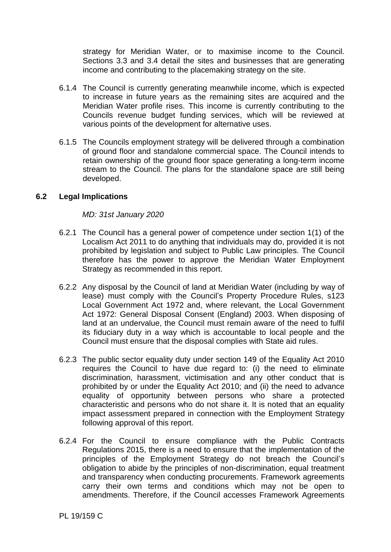strategy for Meridian Water, or to maximise income to the Council. Sections 3.3 and 3.4 detail the sites and businesses that are generating income and contributing to the placemaking strategy on the site.

- 6.1.4 The Council is currently generating meanwhile income, which is expected to increase in future years as the remaining sites are acquired and the Meridian Water profile rises. This income is currently contributing to the Councils revenue budget funding services, which will be reviewed at various points of the development for alternative uses.
- 6.1.5 The Councils employment strategy will be delivered through a combination of ground floor and standalone commercial space. The Council intends to retain ownership of the ground floor space generating a long-term income stream to the Council. The plans for the standalone space are still being developed.

#### **6.2 Legal Implications**

#### *MD: 31st January 2020*

- 6.2.1 The Council has a general power of competence under section 1(1) of the Localism Act 2011 to do anything that individuals may do, provided it is not prohibited by legislation and subject to Public Law principles. The Council therefore has the power to approve the Meridian Water Employment Strategy as recommended in this report.
- 6.2.2 Any disposal by the Council of land at Meridian Water (including by way of lease) must comply with the Council's Property Procedure Rules, s123 Local Government Act 1972 and, where relevant, the Local Government Act 1972: General Disposal Consent (England) 2003. When disposing of land at an undervalue, the Council must remain aware of the need to fulfil its fiduciary duty in a way which is accountable to local people and the Council must ensure that the disposal complies with State aid rules.
- 6.2.3 The public sector equality duty under section 149 of the Equality Act 2010 requires the Council to have due regard to: (i) the need to eliminate discrimination, harassment, victimisation and any other conduct that is prohibited by or under the Equality Act 2010; and (ii) the need to advance equality of opportunity between persons who share a protected characteristic and persons who do not share it. It is noted that an equality impact assessment prepared in connection with the Employment Strategy following approval of this report.
- 6.2.4 For the Council to ensure compliance with the Public Contracts Regulations 2015, there is a need to ensure that the implementation of the principles of the Employment Strategy do not breach the Council's obligation to abide by the principles of non-discrimination, equal treatment and transparency when conducting procurements. Framework agreements carry their own terms and conditions which may not be open to amendments. Therefore, if the Council accesses Framework Agreements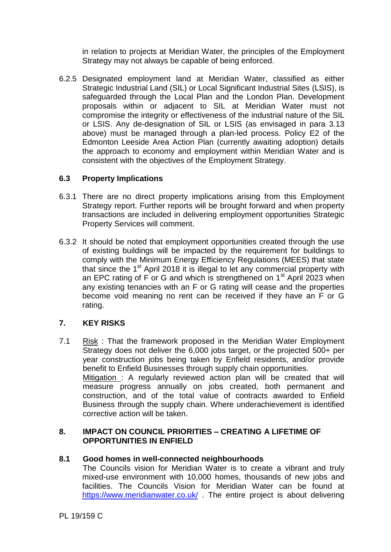in relation to projects at Meridian Water, the principles of the Employment Strategy may not always be capable of being enforced.

6.2.5 Designated employment land at Meridian Water, classified as either Strategic Industrial Land (SIL) or Local Significant Industrial Sites (LSIS), is safeguarded through the Local Plan and the London Plan. Development proposals within or adjacent to SIL at Meridian Water must not compromise the integrity or effectiveness of the industrial nature of the SIL or LSIS. Any de-designation of SIL or LSIS (as envisaged in para 3.13 above) must be managed through a plan-led process. Policy E2 of the Edmonton Leeside Area Action Plan (currently awaiting adoption) details the approach to economy and employment within Meridian Water and is consistent with the objectives of the Employment Strategy.

# **6.3 Property Implications**

- 6.3.1 There are no direct property implications arising from this Employment Strategy report. Further reports will be brought forward and when property transactions are included in delivering employment opportunities Strategic Property Services will comment.
- 6.3.2 It should be noted that employment opportunities created through the use of existing buildings will be impacted by the requirement for buildings to comply with the Minimum Energy Efficiency Regulations (MEES) that state that since the  $1<sup>st</sup>$  April 2018 it is illegal to let any commercial property with an EPC rating of F or G and which is strengthened on  $1<sup>st</sup>$  April 2023 when any existing tenancies with an F or G rating will cease and the properties become void meaning no rent can be received if they have an F or G rating.

# **7. KEY RISKS**

7.1 Risk : That the framework proposed in the Meridian Water Employment Strategy does not deliver the 6,000 jobs target, or the projected 500+ per year construction jobs being taken by Enfield residents, and/or provide benefit to Enfield Businesses through supply chain opportunities. Mitigation : A regularly reviewed action plan will be created that will measure progress annually on jobs created, both permanent and construction, and of the total value of contracts awarded to Enfield Business through the supply chain. Where underachievement is identified corrective action will be taken.

# **8. IMPACT ON COUNCIL PRIORITIES – CREATING A LIFETIME OF OPPORTUNITIES IN ENFIELD**

# **8.1 Good homes in well-connected neighbourhoods**

The Councils vision for Meridian Water is to create a vibrant and truly mixed-use environment with 10,000 homes, thousands of new jobs and facilities. The Councils Vision for Meridian Water can be found at <https://www.meridianwater.co.uk/> . The entire project is about delivering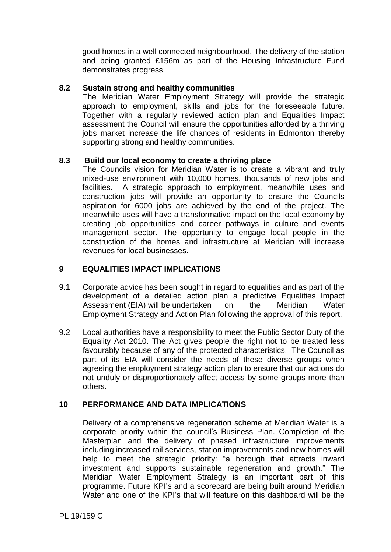good homes in a well connected neighbourhood. The delivery of the station and being granted £156m as part of the Housing Infrastructure Fund demonstrates progress.

# **8.2 Sustain strong and healthy communities**

The Meridian Water Employment Strategy will provide the strategic approach to employment, skills and jobs for the foreseeable future. Together with a regularly reviewed action plan and Equalities Impact assessment the Council will ensure the opportunities afforded by a thriving jobs market increase the life chances of residents in Edmonton thereby supporting strong and healthy communities.

#### **8.3 Build our local economy to create a thriving place**

The Councils vision for Meridian Water is to create a vibrant and truly mixed-use environment with 10,000 homes, thousands of new jobs and facilities. A strategic approach to employment, meanwhile uses and construction jobs will provide an opportunity to ensure the Councils aspiration for 6000 jobs are achieved by the end of the project. The meanwhile uses will have a transformative impact on the local economy by creating job opportunities and career pathways in culture and events management sector. The opportunity to engage local people in the construction of the homes and infrastructure at Meridian will increase revenues for local businesses.

# **9 EQUALITIES IMPACT IMPLICATIONS**

- 9.1 Corporate advice has been sought in regard to equalities and as part of the development of a detailed action plan a predictive Equalities Impact Assessment (EIA) will be undertaken on the Meridian Water Employment Strategy and Action Plan following the approval of this report.
- 9.2 Local authorities have a responsibility to meet the Public Sector Duty of the Equality Act 2010. The Act gives people the right not to be treated less favourably because of any of the protected characteristics. The Council as part of its EIA will consider the needs of these diverse groups when agreeing the employment strategy action plan to ensure that our actions do not unduly or disproportionately affect access by some groups more than others.

# **10 PERFORMANCE AND DATA IMPLICATIONS**

Delivery of a comprehensive regeneration scheme at Meridian Water is a corporate priority within the council's Business Plan. Completion of the Masterplan and the delivery of phased infrastructure improvements including increased rail services, station improvements and new homes will help to meet the strategic priority: "a borough that attracts inward investment and supports sustainable regeneration and growth." The Meridian Water Employment Strategy is an important part of this programme. Future KPI's and a scorecard are being built around Meridian Water and one of the KPI's that will feature on this dashboard will be the